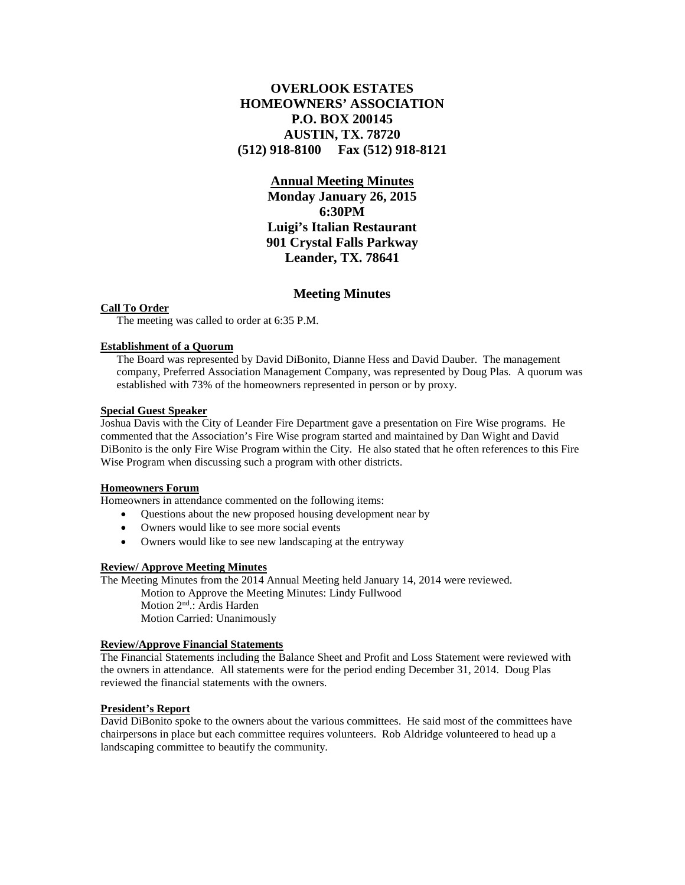# **OVERLOOK ESTATES HOMEOWNERS' ASSOCIATION P.O. BOX 200145 AUSTIN, TX. 78720 (512) 918-8100 Fax (512) 918-8121**

## **Annual Meeting Minutes**

**Monday January 26, 2015 6:30PM Luigi's Italian Restaurant 901 Crystal Falls Parkway Leander, TX. 78641**

## **Meeting Minutes**

## **Call To Order**

The meeting was called to order at 6:35 P.M.

#### **Establishment of a Quorum**

The Board was represented by David DiBonito, Dianne Hess and David Dauber. The management company, Preferred Association Management Company, was represented by Doug Plas. A quorum was established with 73% of the homeowners represented in person or by proxy.

#### **Special Guest Speaker**

Joshua Davis with the City of Leander Fire Department gave a presentation on Fire Wise programs. He commented that the Association's Fire Wise program started and maintained by Dan Wight and David DiBonito is the only Fire Wise Program within the City. He also stated that he often references to this Fire Wise Program when discussing such a program with other districts.

#### **Homeowners Forum**

Homeowners in attendance commented on the following items:

- Questions about the new proposed housing development near by
- Owners would like to see more social events
- Owners would like to see new landscaping at the entryway

### **Review/ Approve Meeting Minutes**

The Meeting Minutes from the 2014 Annual Meeting held January 14, 2014 were reviewed.

Motion to Approve the Meeting Minutes: Lindy Fullwood Motion 2nd.: Ardis Harden Motion Carried: Unanimously

### **Review/Approve Financial Statements**

The Financial Statements including the Balance Sheet and Profit and Loss Statement were reviewed with the owners in attendance. All statements were for the period ending December 31, 2014. Doug Plas reviewed the financial statements with the owners.

#### **President's Report**

David DiBonito spoke to the owners about the various committees. He said most of the committees have chairpersons in place but each committee requires volunteers. Rob Aldridge volunteered to head up a landscaping committee to beautify the community.